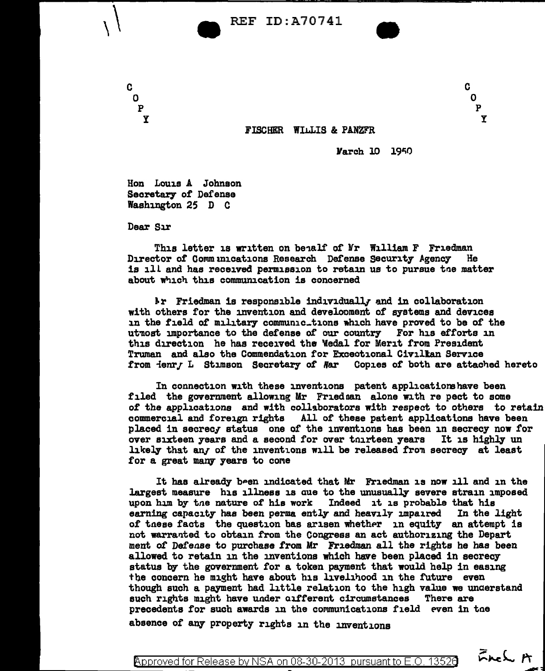



Hon Louis A Johnson Secretary of Defense Washington 25 D C

Dear Sir

This letter is written on benalf of Mr William F Friedman<br>tor of Comminications Research Defense Security Agency He Director of Comminications Research Defense Security Agency is ill and has received permission to retain us to pursue tne matter about which this communication is concerned

br Friedman is responsible individually and in collaboration with others for the invention and development of systems and devices in the field of military communic\_tions which have proved to be of the ut nost importance to the defense of our country For his efforts in this direction he has received the Wedal for Merit from President Truman and also the Commendation for Exceotional Civilian Service from ienr, L Stimson Secretary of War Copies of both are attached hereto

In connection with these inventions patent applications have been filed the government allowing Mr Friedoan alone with re pect to some of the applications and with collaborators with respect to others to retain commercial and foreign rights All of these patent applications have been placed in secrecy status one of the inventions has been in secrecy now for over sixteen years and a second for over thirteen years It is highly un over sixteen years and a second for over thirteen years likely that any of the inventions will be released from secrecy at least for a great many years to come

It has already been indicated that Mr Friedman is now ill and in the largest measure his illness is que to the unusually severe strain imposed upon him by the nature of his work Indeed it is probable that his earning capacity has been perma ently and heavily impaired In the light earning capacity has been perma ently and heavily impaired of these facts the question has arisen whether in equity an attempt is not warranted to obtain from the Congress an act authorizing the Depart ment of Defense to purchase from Mr Friedman all the rights he has been allowed to retain in the inventions which have been placed in secrecy status by the government for a token payment that would help in easing the concern he might have about his livelihood in the future even though such a payment had little relation to the high value we unaerstand such rights might have under alfferent circumstances There are precedents for such awards in the communications field even in the absence of any property rights in the inventions

Freh A

Approved for Release by NSA on 08-30-2013 pursuant to E.O. 1352d